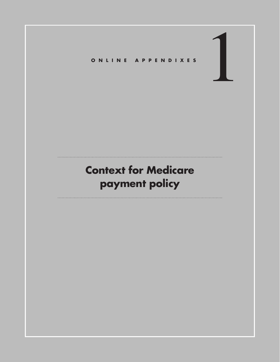

# **Context for Medicare payment policy**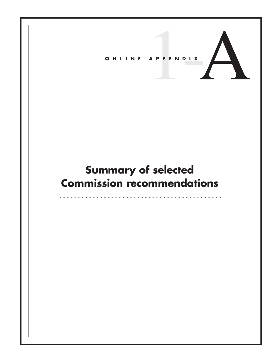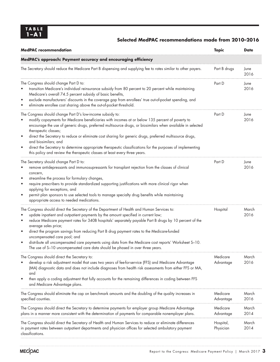### **Selected MedPAC recommendations made from 2010–2016**

| <b>MedPAC</b> recommendation                                                                                                                                                                                                                                                                                                                                                                                                                                                                                                                                                                                                                                                                 | <b>Topic</b>           | <b>Date</b>   |
|----------------------------------------------------------------------------------------------------------------------------------------------------------------------------------------------------------------------------------------------------------------------------------------------------------------------------------------------------------------------------------------------------------------------------------------------------------------------------------------------------------------------------------------------------------------------------------------------------------------------------------------------------------------------------------------------|------------------------|---------------|
| MedPAC's approach: Payment accuracy and encouraging efficiency                                                                                                                                                                                                                                                                                                                                                                                                                                                                                                                                                                                                                               |                        |               |
| The Secretary should reduce the Medicare Part B dispensing and supplying fee to rates similar to other payers.                                                                                                                                                                                                                                                                                                                                                                                                                                                                                                                                                                               | Part B drugs           | June<br>2016  |
| The Congress should change Part D to:<br>transition Medicare's individual reinsurance subsidy from 80 percent to 20 percent while maintaining<br>Medicare's overall 74.5 percent subsidy of basic benefits,<br>exclude manufacturers' discounts in the coverage gap from enrollees' true out-of-pocket spending, and<br>٠<br>eliminate enrollee cost sharing above the out-of-pocket threshold.<br>٠                                                                                                                                                                                                                                                                                         | Part D                 | June<br>2016  |
| The Congress should change Part D's low-income subsidy to:<br>modify copayments for Medicare beneficiaries with incomes at or below 135 percent of poverty to<br>encourage the use of generic drugs, preferred multisource drugs, or biosimilars when available in selected<br>therapeutic classes;<br>direct the Secretary to reduce or eliminate cost sharing for generic drugs, preferred multisource drugs,<br>٠<br>and biosimilars; and<br>direct the Secretary to determine appropriate therapeutic classifications for the purposes of implementing<br>٠<br>this policy and review the therapeutic classes at least every three years.                                                | Part D                 | June<br>2016  |
| The Secretary should change Part D to:<br>remove antidepressants and immunosupressants for transplant rejection from the classes of clinical<br>concern,<br>streamline the process for formulary changes,<br>$\bullet$<br>require prescribers to provide standardized supporting justifications with more clinical rigor when<br>$\bullet$<br>applying for exceptions, and<br>permit plan sponsors to use selected tools to manage specialty drug benefits while maintaining<br>$\bullet$<br>appropriate access to needed medications.                                                                                                                                                       | Part D                 | June<br>2016  |
| The Congress should direct the Secretary of the Department of Health and Human Services to:<br>update inpatient and outpatient payments by the amount specified in current law;<br>$\bullet$<br>reduce Medicare payment rates for 340B hospitals' separately payable Part B drugs by 10 percent of the<br>$\bullet$<br>average sales price;<br>direct the program savings from reducing Part B drug payment rates to the Medicare-funded<br>$\bullet$<br>uncompensated care pool; and<br>distribute all uncompensated care payments using data from the Medicare cost reports' Worksheet S-10.<br>$\bullet$<br>The use of S-10 uncompensated care data should be phased in over three years. | Hospital               | March<br>2016 |
| The Congress should direct the Secretary to:<br>develop a risk adjustment model that uses two years of fee-for-service (FFS) and Medicare Advantage<br>(MA) diagnostic data and does not include diagnoses from health risk assessments from either FFS or MA,<br>and<br>then apply a coding adjustment that fully accounts for the remaining differences in coding between FFS<br>and Medicare Advantage plans.                                                                                                                                                                                                                                                                             | Medicare<br>Advantage  | March<br>2016 |
| The Congress should eliminate the cap on benchmark amounts and the doubling of the quality increases in<br>specified counties.                                                                                                                                                                                                                                                                                                                                                                                                                                                                                                                                                               | Medicare<br>Advantage  | March<br>2016 |
| The Congress should direct the Secretary to determine payments for employer group Medicare Advantage<br>plans in a manner more consistent with the determination of payments for comparable nonemployer plans.                                                                                                                                                                                                                                                                                                                                                                                                                                                                               | Medicare<br>Advantage  | March<br>2014 |
| The Congress should direct the Secretary of Health and Human Services to reduce or eliminate differences<br>in payment rates between outpatient departments and physician offices for selected ambulatory payment<br>classifications.                                                                                                                                                                                                                                                                                                                                                                                                                                                        | Hospital,<br>Physician | March<br>2014 |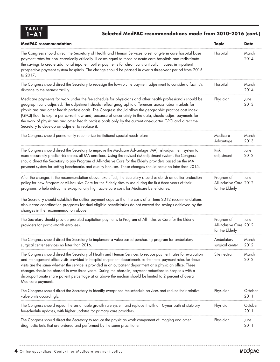| TABLE<br>$1 - A1$                                                              | Selected MedPAC recommendations made from 2010-2016 (cont.)                                                                                                                                                                                                                                                                                                                                                                                                                                                                                                                               |                 |
|--------------------------------------------------------------------------------|-------------------------------------------------------------------------------------------------------------------------------------------------------------------------------------------------------------------------------------------------------------------------------------------------------------------------------------------------------------------------------------------------------------------------------------------------------------------------------------------------------------------------------------------------------------------------------------------|-----------------|
| <b>MedPAC</b> recommendation                                                   | <b>Topic</b>                                                                                                                                                                                                                                                                                                                                                                                                                                                                                                                                                                              | <b>Date</b>     |
| to 2017.                                                                       | Hospital<br>The Congress should direct the Secretary of Health and Human Services to set long-term care hospital base<br>payment rates for non-chronically critically ill cases equal to those of acute care hospitals and redistribute<br>the savings to create additional inpatient outlier payments for chronically critically ill cases in inpatient<br>prospective payment system hospitals. The change should be phased in over a three-year period from 2015                                                                                                                       | March<br>2014   |
| distance to the nearest facility.                                              | The Congress should direct the Secretary to redesign the low-volume payment adjustment to consider a facility's<br>Hospital                                                                                                                                                                                                                                                                                                                                                                                                                                                               | March<br>2014   |
| Secretary to develop an adjuster to replace it.                                | Medicare payments for work under the fee schedule for physicians and other health professionals should be<br>Physician<br>geographically adjusted. The adjustment should reflect geographic differences across labor markets for<br>physicians and other health professionals. The Congress should allow the geographic practice cost index<br>(GPCI) floor to expire per current law and, because of uncertainty in the data, should adjust payments for<br>the work of physicians and other health professionals only by the current one-quarter GPCI and direct the                    | June<br>2013    |
| The Congress should permanently reauthorize institutional special needs plans. | Medicare<br>Advantage                                                                                                                                                                                                                                                                                                                                                                                                                                                                                                                                                                     | March<br>2013   |
|                                                                                | The Congress should direct the Secretary to improve the Medicare Advantage (MA) risk-adjustment system to<br>Risk<br>more accurately predict risk across all MA enrollees. Using the revised risk-adjustment system, the Congress<br>adjustment<br>should direct the Secretary to pay Program of All-Inclusive Care for the Elderly providers based on the MA<br>payment system for setting benchmarks and quality bonuses. These changes should occur no later than 2015.                                                                                                                | June<br>2012    |
|                                                                                | After the changes in the recommendation above take effect, the Secretary should establish an outlier protection<br>Program of<br>policy for new Program of All-Inclusive Care for the Elderly sites to use during the first three years of their<br>All-Inclusive Care 2012<br>programs to help defray the exceptionally high acute care costs for Medicare beneficiaries.<br>for the Elderly                                                                                                                                                                                             | June            |
| changes in the recommendation above.                                           | The Secretary should establish the outlier payment caps so that the costs of all June 2012 recommendations<br>about care coordination programs for dual-eligible beneficiaries do not exceed the savings achieved by the                                                                                                                                                                                                                                                                                                                                                                  |                 |
| providers for partial-month enrollees.                                         | Program of<br>The Secretary should provide prorated capitation payments to Program of All-Inclusive Care for the Elderly<br>All-Inclusive Care 2012<br>for the Elderly                                                                                                                                                                                                                                                                                                                                                                                                                    | June            |
| surgical center services no later than 2016.                                   | The Congress should direct the Secretary to implement a value-based purchasing program for ambulatory<br>Ambulatory<br>surgical center                                                                                                                                                                                                                                                                                                                                                                                                                                                    | March<br>2012   |
| Medicare payments.                                                             | The Congress should direct the Secretary of Health and Human Services to reduce payment rates for evaluation<br>Site neutral<br>and management office visits provided in hospital outpatient departments so that total payment rates for these<br>visits are the same whether the service is provided in an outpatient department or a physician office. These<br>changes should be phased in over three years. During the phase-in, payment reductions to hospitals with a<br>disproportionate share patient percentage at or above the median should be limited to 2 percent of overall | March<br>2012   |
| value units accordingly.                                                       | The Congress should direct the Secretary to identify overpriced fee-schedule services and reduce their relative<br>Physician                                                                                                                                                                                                                                                                                                                                                                                                                                                              | October<br>2011 |
| fee-schedule updates, with higher updates for primary care providers.          | Physician<br>The Congress should repeal the sustainable growth rate system and replace it with a 10-year path of statutory                                                                                                                                                                                                                                                                                                                                                                                                                                                                | October<br>2011 |
| diagnostic tests that are ordered and performed by the same practitioner.      | The Congress should direct the Secretary to reduce the physician work component of imaging and other<br>Physician                                                                                                                                                                                                                                                                                                                                                                                                                                                                         | June<br>2011    |

ļ,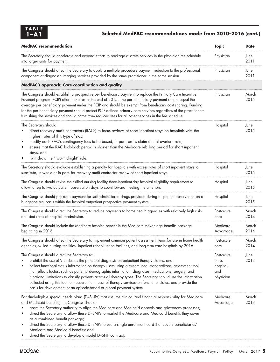## **1–A1 Selected MedPAC recommendations made from 2010–2016 (cont.)**

| <b>MedPAC</b> recommendation                                                                                                                                                                                                                                                                                                                                                                                                                                                                                                                                                                                                                                         | <b>Topic</b>                                         | <b>Date</b>   |
|----------------------------------------------------------------------------------------------------------------------------------------------------------------------------------------------------------------------------------------------------------------------------------------------------------------------------------------------------------------------------------------------------------------------------------------------------------------------------------------------------------------------------------------------------------------------------------------------------------------------------------------------------------------------|------------------------------------------------------|---------------|
| The Secretary should accelerate and expand efforts to package discrete services in the physician fee schedule<br>into larger units for payment.                                                                                                                                                                                                                                                                                                                                                                                                                                                                                                                      | Physician                                            | June<br>2011  |
| The Congress should direct the Secretary to apply a multiple procedure payment reduction to the professional<br>component of diagnostic imaging services provided by the same practitioner in the same session.                                                                                                                                                                                                                                                                                                                                                                                                                                                      | Physician                                            | June<br>2011  |
| MedPAC's approach: Care coordination and quality                                                                                                                                                                                                                                                                                                                                                                                                                                                                                                                                                                                                                     |                                                      |               |
| The Congress should establish a prospective per beneficiary payment to replace the Primary Care Incentive<br>Payment program (PCIP) after it expires at the end of 2015. The per beneficiary payment should equal the<br>average per beneficiary payment under the PCIP and should be exempt from beneficiary cost sharing. Funding<br>for the per beneficiary payment should protect PCIP-defined primary care services regardless of the practitioners<br>furnishing the services and should come from reduced fees for all other services in the fee schedule.                                                                                                    | Physician                                            | March<br>2015 |
| The Secretary should:<br>direct recovery audit contractors (RACs) to focus reviews of short inpatient stays on hospitals with the<br>highest rates of this type of stay,<br>modify each RAC's contingency fees to be based, in part, on its claim denial overturn rate,<br>ensure that the RAC look-back period is shorter than the Medicare rebilling period for short inpatient<br>stays, and<br>withdraw the "two-midnight" rule.                                                                                                                                                                                                                                 | Hospital                                             | June<br>2015  |
| The Secretary should evaluate establishing a penalty for hospitals with excess rates of short inpatient stays to<br>substitute, in whole or in part, for recovery audit contractor review of short inpatient stays.                                                                                                                                                                                                                                                                                                                                                                                                                                                  | Hospital                                             | June<br>2015  |
| The Congress should revise the skilled nursing facility three-inpatient-day hospital eligibility requirement to<br>allow for up to two outpatient observation days to count toward meeting the criterion.                                                                                                                                                                                                                                                                                                                                                                                                                                                            | Hospital                                             | June<br>2015  |
| The Congress should package payment for self-administered drugs provided during outpatient observation on a<br>budget-neutral basis within the hospital outpatient prospective payment system.                                                                                                                                                                                                                                                                                                                                                                                                                                                                       | Hospital                                             | June<br>2015  |
| The Congress should direct the Secretary to reduce payments to home health agencies with relatively high risk-<br>adjusted rates of hospital readmission.                                                                                                                                                                                                                                                                                                                                                                                                                                                                                                            | Post-acute<br>care                                   | March<br>2014 |
| The Congress should include the Medicare hospice benefit in the Medicare Advantage benefits package<br>beginning in 2016.                                                                                                                                                                                                                                                                                                                                                                                                                                                                                                                                            | Medicare<br>Advantage                                | March<br>2014 |
| The Congress should direct the Secretary to implement common patient assessment items for use in home health<br>agencies, skilled nursing facilities, inpatient rehabilitation facilities, and long-term care hospitals by 2016.                                                                                                                                                                                                                                                                                                                                                                                                                                     | Post-acute<br>care                                   | March<br>2014 |
| The Congress should direct the Secretary to:<br>prohibit the use of V codes as the principal diagnosis on outpatient therapy claims, and<br>collect functional status information on therapy users using a streamlined, standardized, assessment tool<br>that reflects factors such as patients' demographic information, diagnoses, medications, surgery, and<br>functional limitations to classify patients across all therapy types. The Secretary should use the information<br>collected using this tool to measure the impact of therapy services on functional status, and provide the<br>basis for development of an episode-based or global payment system. | Post-acute<br>care,<br>hospital,<br>and<br>physician | June<br>2013  |
| For dual-eligible special needs plans (D-SNPs) that assume clinical and financial responsibility for Medicare<br>and Medicaid benefits, the Congress should:<br>grant the Secretary authority to align the Medicare and Medicaid appeals and grievances processes;<br>direct the Secretary to allow these D-SNPs to market the Medicare and Medicaid benefits they cover<br>as a combined benefit package;<br>direct the Secretary to allow these D-SNPs to use a single enrollment card that covers beneficiaries'<br>٠<br>Medicare and Medicaid benefits; and<br>direct the Secretary to develop a model D-SNP contract.                                           | Medicare<br>Advantage                                | March<br>2013 |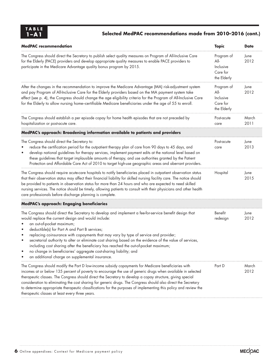| TABLE |
|-------|
| ·A 1  |

## **1–A1 Selected MedPAC recommendations made from 2010–2016 (cont.)**

| <b>MedPAC</b> recommendation                                                                                                                                                                                                                                                                                                                                                                                                                                                                                                                                                                                                                                    | <b>Topic</b>                                                 | <b>Date</b>   |
|-----------------------------------------------------------------------------------------------------------------------------------------------------------------------------------------------------------------------------------------------------------------------------------------------------------------------------------------------------------------------------------------------------------------------------------------------------------------------------------------------------------------------------------------------------------------------------------------------------------------------------------------------------------------|--------------------------------------------------------------|---------------|
| The Congress should direct the Secretary to publish select quality measures on Program of All-Inclusive Care<br>for the Elderly (PACE) providers and develop appropriate quality measures to enable PACE providers to<br>participate in the Medicare Advantage quality bonus program by 2015.                                                                                                                                                                                                                                                                                                                                                                   | Program of<br>$All-$<br>Inclusive<br>Care for<br>the Elderly | June<br>2012  |
| After the changes in the recommendation to improve the Medicare Advantage (MA) risk-adjustment system<br>and pay Program of All-Inclusive Care for the Elderly providers based on the MA payment system take<br>effect (see p. 4), the Congress should change the age eligibility criteria for the Program of All-Inclusive Care<br>for the Elderly to allow nursing home-certifiable Medicare beneficiaries under the age of 55 to enroll.                                                                                                                                                                                                                     | Program of<br>$All-$<br>Inclusive<br>Care for<br>the Elderly | June<br>2012  |
| The Congress should establish a per episode copay for home health episodes that are not preceded by<br>hospitalization or post-acute care.                                                                                                                                                                                                                                                                                                                                                                                                                                                                                                                      | Post-acute<br>care                                           | March<br>2011 |
| MedPAC's approach: Broadening information available to patients and providers                                                                                                                                                                                                                                                                                                                                                                                                                                                                                                                                                                                   |                                                              |               |
| The Congress should direct the Secretary to:<br>reduce the certification period for the outpatient therapy plan of care from 90 days to 45 days, and<br>develop national guidelines for therapy services, implement payment edits at the national level based on<br>these guidelines that target implausible amounts of therapy, and use authorities granted by the Patient<br>Protection and Affordable Care Act of 2010 to target high-use geographic areas and aberrant providers.                                                                                                                                                                           | Post-acute<br>care                                           | June<br>2013  |
| The Congress should require acute-care hospitals to notify beneficiaries placed in outpatient observation status<br>that their observation status may affect their financial liability for skilled nursing facility care. The notice should<br>be provided to patients in observation status for more than 24 hours and who are expected to need skilled<br>nursing services. The notice should be timely, allowing patients to consult with their physicians and other health<br>care professionals before discharge planning is complete.                                                                                                                     | Hospital                                                     | June<br>2015  |
| MedPAC's approach: Engaging beneficiaries                                                                                                                                                                                                                                                                                                                                                                                                                                                                                                                                                                                                                       |                                                              |               |
| The Congress should direct the Secretary to develop and implement a fee-for-service benefit design that<br>would replace the current design and would include:<br>an out-of-pocket maximum;<br>deductible(s) for Part A and Part B services;<br>replacing coinsurance with copayments that may vary by type of service and provider;<br>secretarial authority to alter or eliminate cost sharing based on the evidence of the value of services,<br>including cost sharing after the beneficiary has reached the out-of-pocket maximum;<br>no change in beneficiaries' aggregate cost-sharing liability; and<br>an additional charge on supplemental insurance. | Benefit<br>redesign                                          | June<br>2012  |
| The Congress should modify the Part D low-income subsidy copayments for Medicare beneficiaries with<br>incomes at or below 135 percent of poverty to encourage the use of generic drugs when available in selected<br>therapeutic classes. The Congress should direct the Secretary to develop a copay structure, giving special<br>consideration to eliminating the cost sharing for generic drugs. The Congress should also direct the Secretary<br>to determine appropriate therapeutic classifications for the purposes of implementing this policy and review the<br>therapeutic classes at least every three years.                                       | Part D                                                       | March<br>2012 |